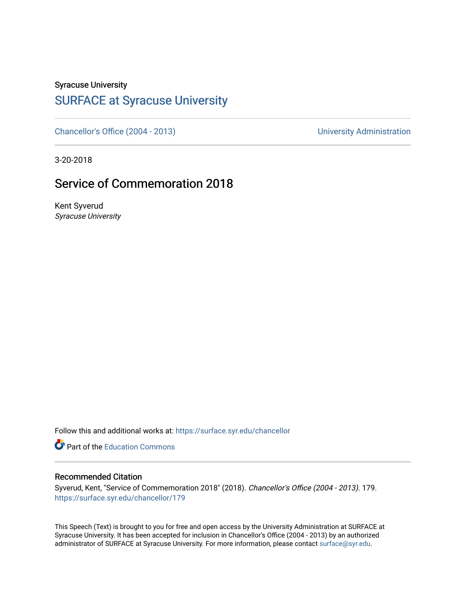Syracuse University

## [SURFACE at Syracuse University](https://surface.syr.edu/)

[Chancellor's Office \(2004 - 2013\)](https://surface.syr.edu/chancellor) Chancellor's Office (2004 - 2013)

3-20-2018

## Service of Commemoration 2018

Kent Syverud Syracuse University

Follow this and additional works at: [https://surface.syr.edu/chancellor](https://surface.syr.edu/chancellor?utm_source=surface.syr.edu%2Fchancellor%2F179&utm_medium=PDF&utm_campaign=PDFCoverPages) 

**C** Part of the [Education Commons](http://network.bepress.com/hgg/discipline/784?utm_source=surface.syr.edu%2Fchancellor%2F179&utm_medium=PDF&utm_campaign=PDFCoverPages)

## Recommended Citation

Syverud, Kent, "Service of Commemoration 2018" (2018). Chancellor's Office (2004 - 2013). 179. [https://surface.syr.edu/chancellor/179](https://surface.syr.edu/chancellor/179?utm_source=surface.syr.edu%2Fchancellor%2F179&utm_medium=PDF&utm_campaign=PDFCoverPages) 

This Speech (Text) is brought to you for free and open access by the University Administration at SURFACE at Syracuse University. It has been accepted for inclusion in Chancellor's Office (2004 - 2013) by an authorized administrator of SURFACE at Syracuse University. For more information, please contact [surface@syr.edu.](mailto:surface@syr.edu)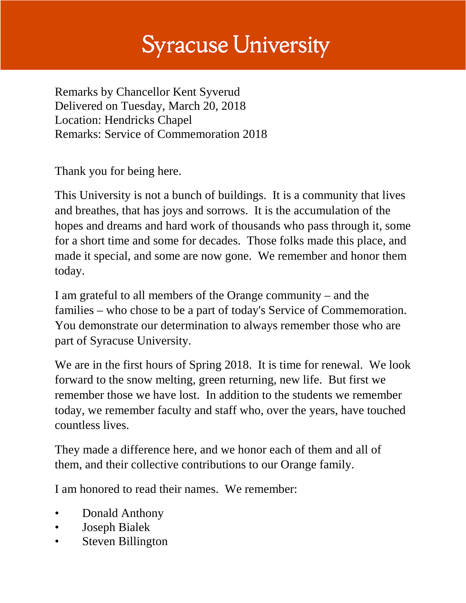## **Syracuse University**

Remarks by Chancellor Kent Syverud Delivered on Tuesday, March 20, 2018 Location: Hendricks Chapel Remarks: Service of Commemoration 2018

Thank you for being here.

This University is not a bunch of buildings. It is a community that lives and breathes, that has joys and sorrows. It is the accumulation of the hopes and dreams and hard work of thousands who pass through it, some for a short time and some for decades. Those folks made this place, and made it special, and some are now gone. We remember and honor them today.

I am grateful to all members of the Orange community – and the families – who chose to be a part of today's Service of Commemoration. You demonstrate our determination to always remember those who are part of Syracuse University.

We are in the first hours of Spring 2018. It is time for renewal. We look forward to the snow melting, green returning, new life. But first we remember those we have lost. In addition to the students we remember today, we remember faculty and staff who, over the years, have touched countless lives.

They made a difference here, and we honor each of them and all of them, and their collective contributions to our Orange family.

I am honored to read their names. We remember:

- Donald Anthony
- Joseph Bialek
- **Steven Billington**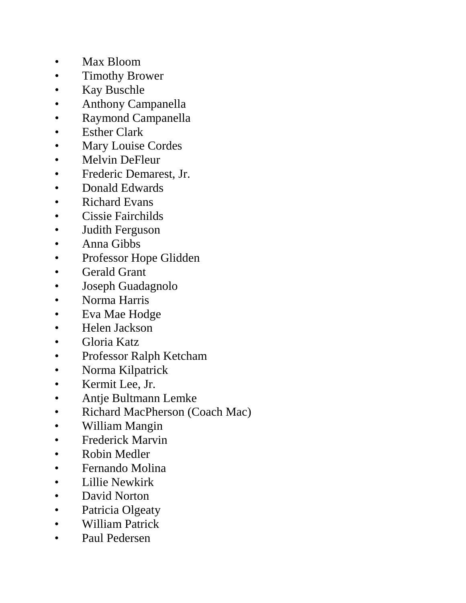- Max Bloom
- Timothy Brower
- Kay Buschle
- Anthony Campanella
- Raymond Campanella
- Esther Clark
- Mary Louise Cordes
- Melvin DeFleur
- Frederic Demarest, Jr.
- Donald Edwards
- Richard Evans
- Cissie Fairchilds
- Judith Ferguson
- Anna Gibbs
- Professor Hope Glidden
- Gerald Grant
- Joseph Guadagnolo
- Norma Harris
- Eva Mae Hodge
- Helen Jackson
- Gloria Katz
- Professor Ralph Ketcham
- Norma Kilpatrick
- Kermit Lee, Jr.
- Antje Bultmann Lemke
- Richard MacPherson (Coach Mac)
- William Mangin
- Frederick Marvin
- Robin Medler
- Fernando Molina
- Lillie Newkirk
- David Norton
- Patricia Olgeaty
- William Patrick
- Paul Pedersen